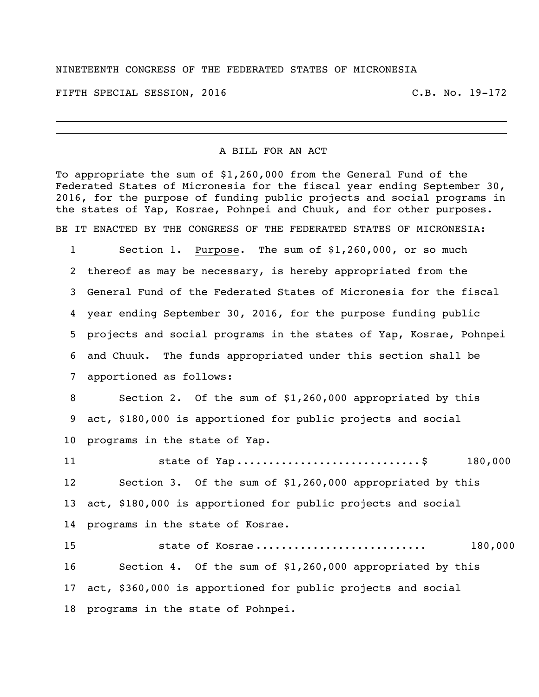## NINETEENTH CONGRESS OF THE FEDERATED STATES OF MICRONESIA

FIFTH SPECIAL SESSION, 2016 C.B. No. 19-172

## A BILL FOR AN ACT

To appropriate the sum of \$1,260,000 from the General Fund of the Federated States of Micronesia for the fiscal year ending September 30, 2016, for the purpose of funding public projects and social programs in the states of Yap, Kosrae, Pohnpei and Chuuk, and for other purposes.

BE IT ENACTED BY THE CONGRESS OF THE FEDERATED STATES OF MICRONESIA:

 Section 1. Purpose. The sum of \$1,260,000, or so much thereof as may be necessary, is hereby appropriated from the General Fund of the Federated States of Micronesia for the fiscal year ending September 30, 2016, for the purpose funding public projects and social programs in the states of Yap, Kosrae, Pohnpei and Chuuk. The funds appropriated under this section shall be apportioned as follows:

 Section 2. Of the sum of \$1,260,000 appropriated by this act, \$180,000 is apportioned for public projects and social programs in the state of Yap.

11 5tate of Yap ...............................\$ 180,000 Section 3. Of the sum of \$1,260,000 appropriated by this act, \$180,000 is apportioned for public projects and social programs in the state of Kosrae.

**state of Kosrae ................................** 180,000 Section 4. Of the sum of \$1,260,000 appropriated by this act, \$360,000 is apportioned for public projects and social programs in the state of Pohnpei.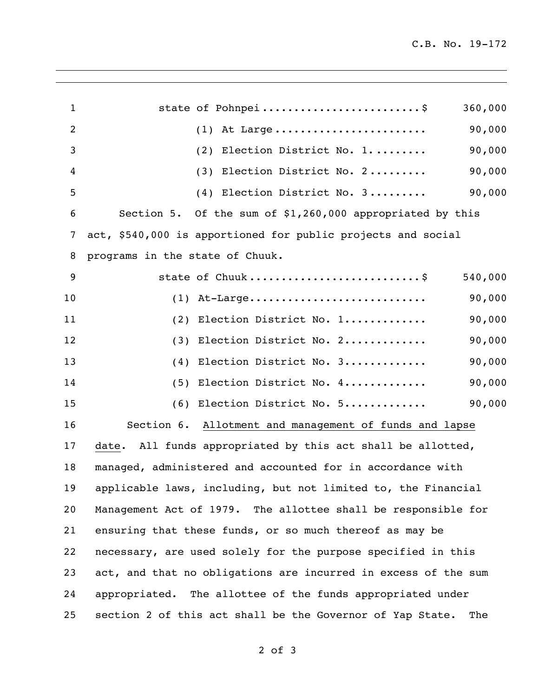| $\mathbf{1}$ |                                                        | state of Pohnpei                                               | 360,000 |
|--------------|--------------------------------------------------------|----------------------------------------------------------------|---------|
| 2            |                                                        | At Large<br>(1)                                                | 90,000  |
| 3            |                                                        | Election District No. 1<br>(2)                                 | 90,000  |
| 4            |                                                        | Election District No. 2<br>(3)                                 | 90,000  |
| 5            |                                                        | (4) Election District No. 3                                    | 90,000  |
| 6            |                                                        | Section 5. Of the sum of \$1,260,000 appropriated by this      |         |
| 7            |                                                        | act, \$540,000 is apportioned for public projects and social   |         |
| 8            | programs in the state of Chuuk.                        |                                                                |         |
| 9            |                                                        | state of Chuuk\$                                               | 540,000 |
| 10           | (1)                                                    | At-Large                                                       | 90,000  |
| 11           | (2)                                                    | Election District No. 1                                        | 90,000  |
| 12           | (3)                                                    | Election District No. 2                                        | 90,000  |
| 13           | (4)                                                    | Election District No. 3                                        | 90,000  |
| 14           | (5)                                                    | Election District No. 4                                        | 90,000  |
| 15           | (6)                                                    | Election District No. 5                                        | 90,000  |
| 16           | Section 6. Allotment and management of funds and lapse |                                                                |         |
| 17           | date.                                                  | All funds appropriated by this act shall be allotted,          |         |
| 18           |                                                        | managed, administered and accounted for in accordance with     |         |
| 19           |                                                        | applicable laws, including, but not limited to, the Financial  |         |
| 20           |                                                        | Management Act of 1979. The allottee shall be responsible for  |         |
| 21           |                                                        | ensuring that these funds, or so much thereof as may be        |         |
| 22           |                                                        | necessary, are used solely for the purpose specified in this   |         |
| 23           |                                                        | act, and that no obligations are incurred in excess of the sum |         |
| 24           |                                                        | appropriated. The allottee of the funds appropriated under     |         |
| 25           |                                                        | section 2 of this act shall be the Governor of Yap State.      | The     |